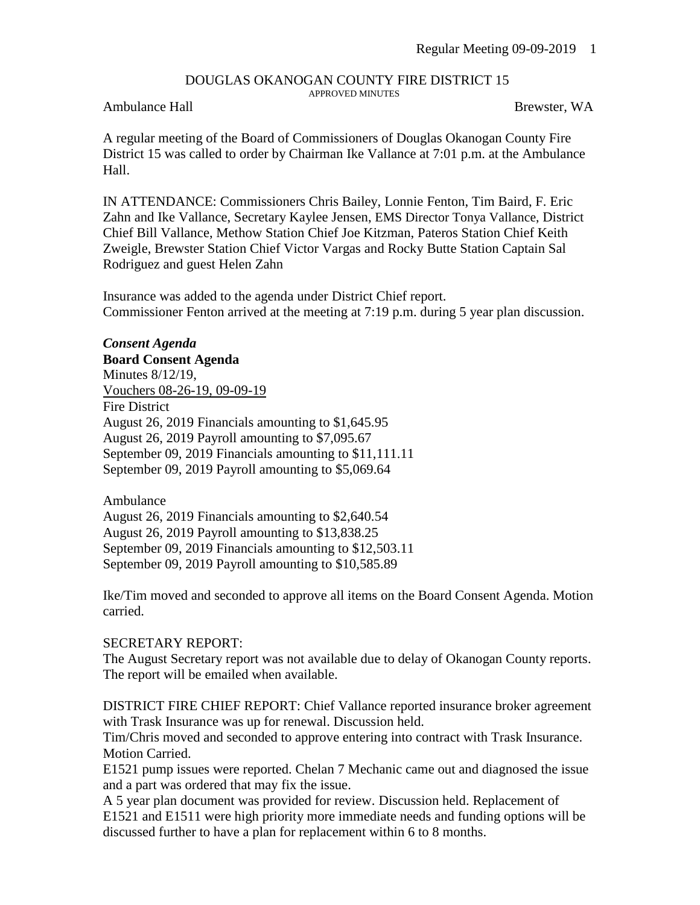## DOUGLAS OKANOGAN COUNTY FIRE DISTRICT 15 APPROVED MINUTES

## Ambulance Hall Brewster, WA

A regular meeting of the Board of Commissioners of Douglas Okanogan County Fire District 15 was called to order by Chairman Ike Vallance at 7:01 p.m. at the Ambulance Hall.

IN ATTENDANCE: Commissioners Chris Bailey, Lonnie Fenton, Tim Baird, F. Eric Zahn and Ike Vallance, Secretary Kaylee Jensen, EMS Director Tonya Vallance, District Chief Bill Vallance, Methow Station Chief Joe Kitzman, Pateros Station Chief Keith Zweigle, Brewster Station Chief Victor Vargas and Rocky Butte Station Captain Sal Rodriguez and guest Helen Zahn

Insurance was added to the agenda under District Chief report. Commissioner Fenton arrived at the meeting at 7:19 p.m. during 5 year plan discussion.

*Consent Agenda* **Board Consent Agenda** Minutes 8/12/19, Vouchers 08-26-19, 09-09-19 Fire District August 26, 2019 Financials amounting to \$1,645.95 August 26, 2019 Payroll amounting to \$7,095.67 September 09, 2019 Financials amounting to \$11,111.11 September 09, 2019 Payroll amounting to \$5,069.64

Ambulance August 26, 2019 Financials amounting to \$2,640.54 August 26, 2019 Payroll amounting to \$13,838.25 September 09, 2019 Financials amounting to \$12,503.11 September 09, 2019 Payroll amounting to \$10,585.89

Ike/Tim moved and seconded to approve all items on the Board Consent Agenda. Motion carried.

## SECRETARY REPORT:

The August Secretary report was not available due to delay of Okanogan County reports. The report will be emailed when available.

DISTRICT FIRE CHIEF REPORT: Chief Vallance reported insurance broker agreement with Trask Insurance was up for renewal. Discussion held.

Tim/Chris moved and seconded to approve entering into contract with Trask Insurance. Motion Carried.

E1521 pump issues were reported. Chelan 7 Mechanic came out and diagnosed the issue and a part was ordered that may fix the issue.

A 5 year plan document was provided for review. Discussion held. Replacement of E1521 and E1511 were high priority more immediate needs and funding options will be discussed further to have a plan for replacement within 6 to 8 months.